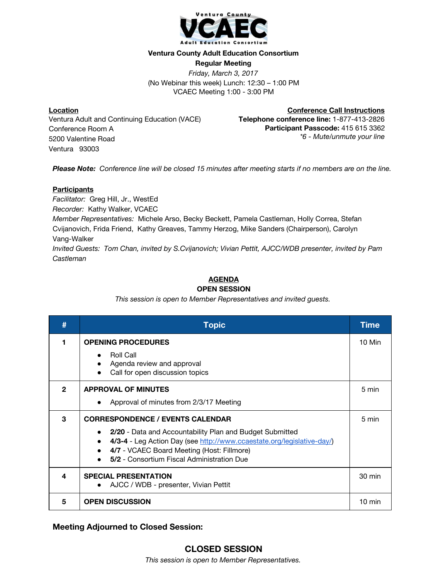

### **Ventura County Adult Education Consortium**

**Regular Meeting** *Friday, March 3, 2017* (No Webinar this week) Lunch: 12:30 – 1:00 PM VCAEC Meeting 1:00 - 3:00 PM

**Location** Ventura Adult and Continuing Education (VACE) Conference Room A 5200 Valentine Road Ventura 93003

**Conference Call Instructions Telephone conference line:** 1-877-413-2826 **Participant Passcode:** 415 615 3362 *\*6 - Mute/unmute your line*

*Please Note: Conference line will be closed 15 minutes after meeting starts if no members are on the line.*

## **Participants**

*Facilitator:* Greg Hill, Jr., WestEd *Recorder:* Kathy Walker, VCAEC *Member Representatives:* Michele Arso, Becky Beckett, Pamela Castleman, Holly Correa, Stefan Cvijanovich, Frida Friend, Kathy Greaves, Tammy Herzog, Mike Sanders (Chairperson), Carolyn Vang-Walker *Invited Guests: Tom Chan, invited by S.Cvijanovich; Vivian Pettit, AJCC/WDB presenter, invited by Pam Castleman*

# **AGENDA**

#### **OPEN SESSION**

*This session is open to Member Representatives and invited guests.*

| #            | <b>Topic</b>                                                                                                                                                                                                                                                              | Time             |
|--------------|---------------------------------------------------------------------------------------------------------------------------------------------------------------------------------------------------------------------------------------------------------------------------|------------------|
|              | <b>OPENING PROCEDURES</b><br><b>Roll Call</b><br>Agenda review and approval<br>$\bullet$<br>Call for open discussion topics                                                                                                                                               | 10 Min           |
| $\mathbf{2}$ | <b>APPROVAL OF MINUTES</b><br>Approval of minutes from 2/3/17 Meeting                                                                                                                                                                                                     | 5 min            |
| 3            | <b>CORRESPONDENCE / EVENTS CALENDAR</b><br>2/20 - Data and Accountability Plan and Budget Submitted<br>4/3-4 - Leg Action Day (see http://www.ccaestate.org/legislative-day/)<br>4/7 - VCAEC Board Meeting (Host: Fillmore)<br>5/2 - Consortium Fiscal Administration Due | 5 min            |
| 4            | <b>SPECIAL PRESENTATION</b><br>AJCC / WDB - presenter, Vivian Pettit                                                                                                                                                                                                      | 30 min           |
| 5            | <b>OPEN DISCUSSION</b>                                                                                                                                                                                                                                                    | $10 \text{ min}$ |

**Meeting Adjourned to Closed Session:**